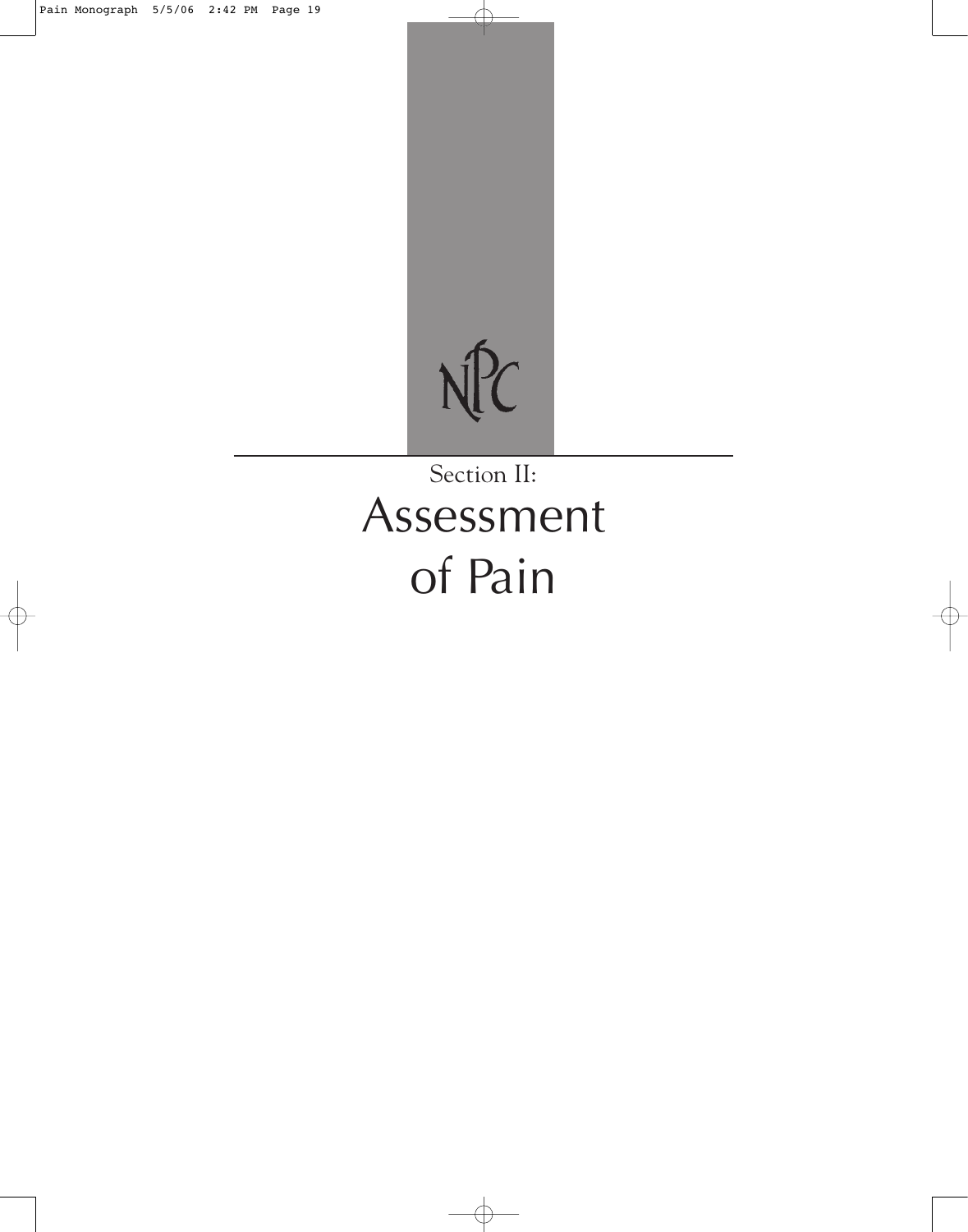

# Section II: Assessment of Pain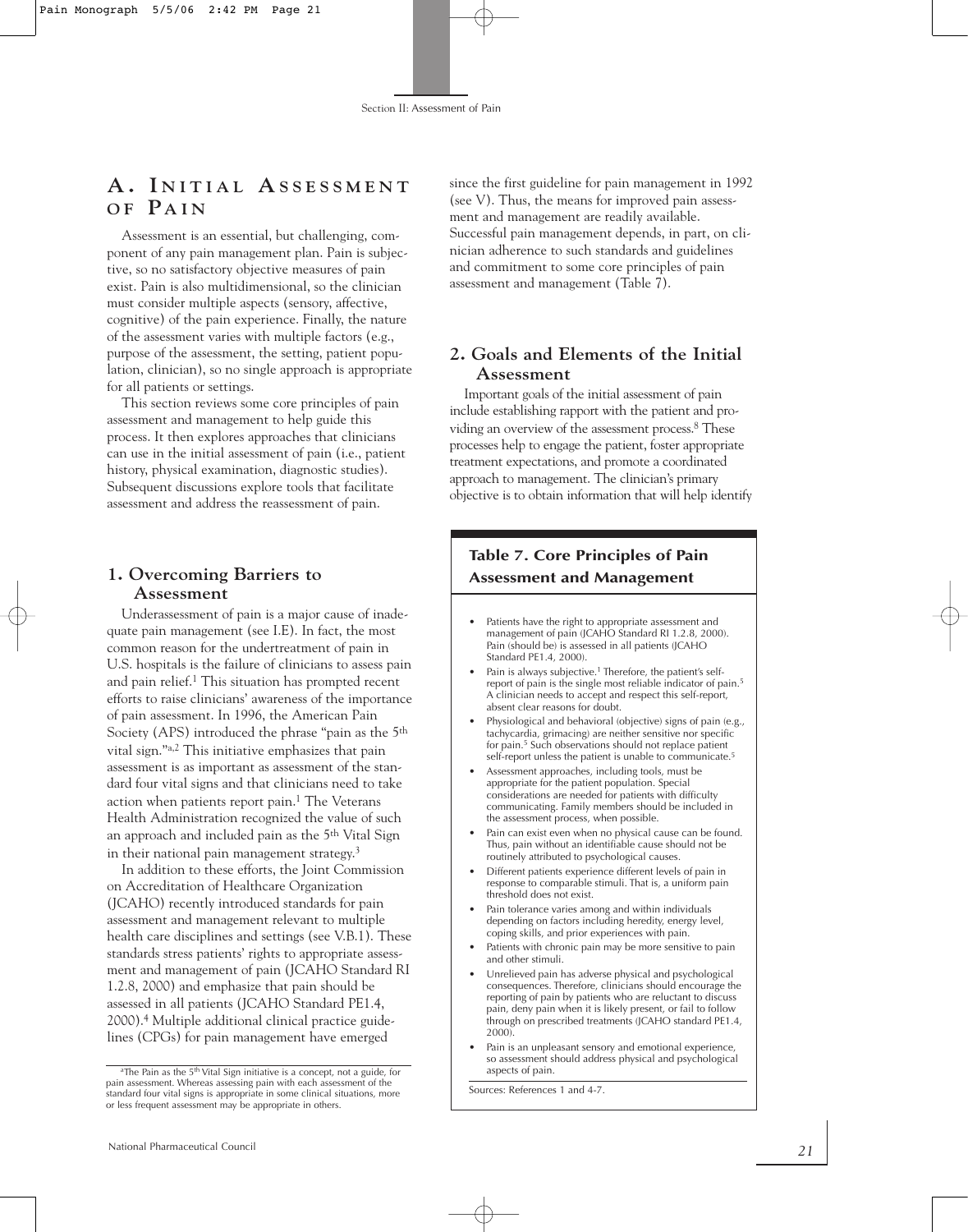# **A . I N I T I A L A S S E S S M E N T O F PA I N**

Assessment is an essential, but challenging, component of any pain management plan. Pain is subjective, so no satisfactory objective measures of pain exist. Pain is also multidimensional, so the clinician must consider multiple aspects (sensory, affective, cognitive) of the pain experience. Finally, the nature of the assessment varies with multiple factors (e.g., purpose of the assessment, the setting, patient population, clinician), so no single approach is appropriate for all patients or settings.

This section reviews some core principles of pain assessment and management to help guide this process. It then explores approaches that clinicians can use in the initial assessment of pain (i.e., patient history, physical examination, diagnostic studies). Subsequent discussions explore tools that facilitate assessment and address the reassessment of pain.

#### **1. Overcoming Barriers to Assessment**

Underassessment of pain is a major cause of inadequate pain management (see I.E). In fact, the most common reason for the undertreatment of pain in U.S. hospitals is the failure of clinicians to assess pain and pain relief.1 This situation has prompted recent efforts to raise clinicians' awareness of the importance of pain assessment. In 1996, the American Pain Society (APS) introduced the phrase "pain as the 5th vital sign."a,2 This initiative emphasizes that pain assessment is as important as assessment of the standard four vital signs and that clinicians need to take action when patients report pain.<sup>1</sup> The Veterans Health Administration recognized the value of such an approach and included pain as the 5th Vital Sign in their national pain management strategy.<sup>3</sup>

In addition to these efforts, the Joint Commission on Accreditation of Healthcare Organization (JCAHO) recently introduced standards for pain assessment and management relevant to multiple health care disciplines and settings (see V.B.1). These standards stress patients' rights to appropriate assessment and management of pain (JCAHO Standard RI 1.2.8, 2000) and emphasize that pain should be assessed in all patients (JCAHO Standard PE1.4, 2000).4 Multiple additional clinical practice guidelines (CPGs) for pain management have emerged

since the first guideline for pain management in 1992 (see V). Thus, the means for improved pain assessment and management are readily available. Successful pain management depends, in part, on clinician adherence to such standards and guidelines and commitment to some core principles of pain assessment and management (Table 7).

#### **2. Goals and Elements of the Initial Assessment**

Important goals of the initial assessment of pain include establishing rapport with the patient and providing an overview of the assessment process. <sup>8</sup> These processes help to engage the patient, foster appropriate treatment expectations, and promote a coordinated approach to management. The clinician's primary objective is to obtain information that will help identify

## **Table 7. Core Principles of Pain Assessment and Management**

- Patients have the right to appropriate assessment and management of pain (JCAHO Standard RI 1.2.8, 2000). Pain (should be) is assessed in all patients (JCAHO Standard PE1.4, 2000).
- Pain is always subjective.<sup>1</sup> Therefore, the patient's selfreport of pain is the single most reliable indicator of pain.5 A clinician needs to accept and respect this self-report, absent clear reasons for doubt.
- Physiological and behavioral (objective) signs of pain (e.g., tachycardia, grimacing) are neither sensitive nor specific for pain.<sup>5</sup> Such observations should not replace patient self-report unless the patient is unable to communicate.<sup>5</sup>
- Assessment approaches, including tools, must be appropriate for the patient population. Special considerations are needed for patients with difficulty communicating. Family members should be included in the assessment process, when possible.
- Pain can exist even when no physical cause can be found. Thus, pain without an identifiable cause should not be routinely attributed to psychological causes.
- Different patients experience different levels of pain in response to comparable stimuli. That is, a uniform pain threshold does not exist.
- Pain tolerance varies among and within individuals depending on factors including heredity, energy level, coping skills, and prior experiences with pain.
- Patients with chronic pain may be more sensitive to pain and other stimuli.
- Unrelieved pain has adverse physical and psychological consequences. Therefore, clinicians should encourage the reporting of pain by patients who are reluctant to discuss pain, deny pain when it is likely present, or fail to follow through on prescribed treatments (JCAHO standard PE1.4, 2000).
- Pain is an unpleasant sensory and emotional experience, so assessment should address physical and psychological aspects of pain.

Sources: References 1 and 4-7.

aThe Pain as the 5<sup>th</sup> Vital Sign initiative is a concept, not a guide, for pain assessment. Whereas assessing pain with each assessment of the standard four vital signs is appropriate in some clinical situations, more or less frequent assessment may be appropriate in others.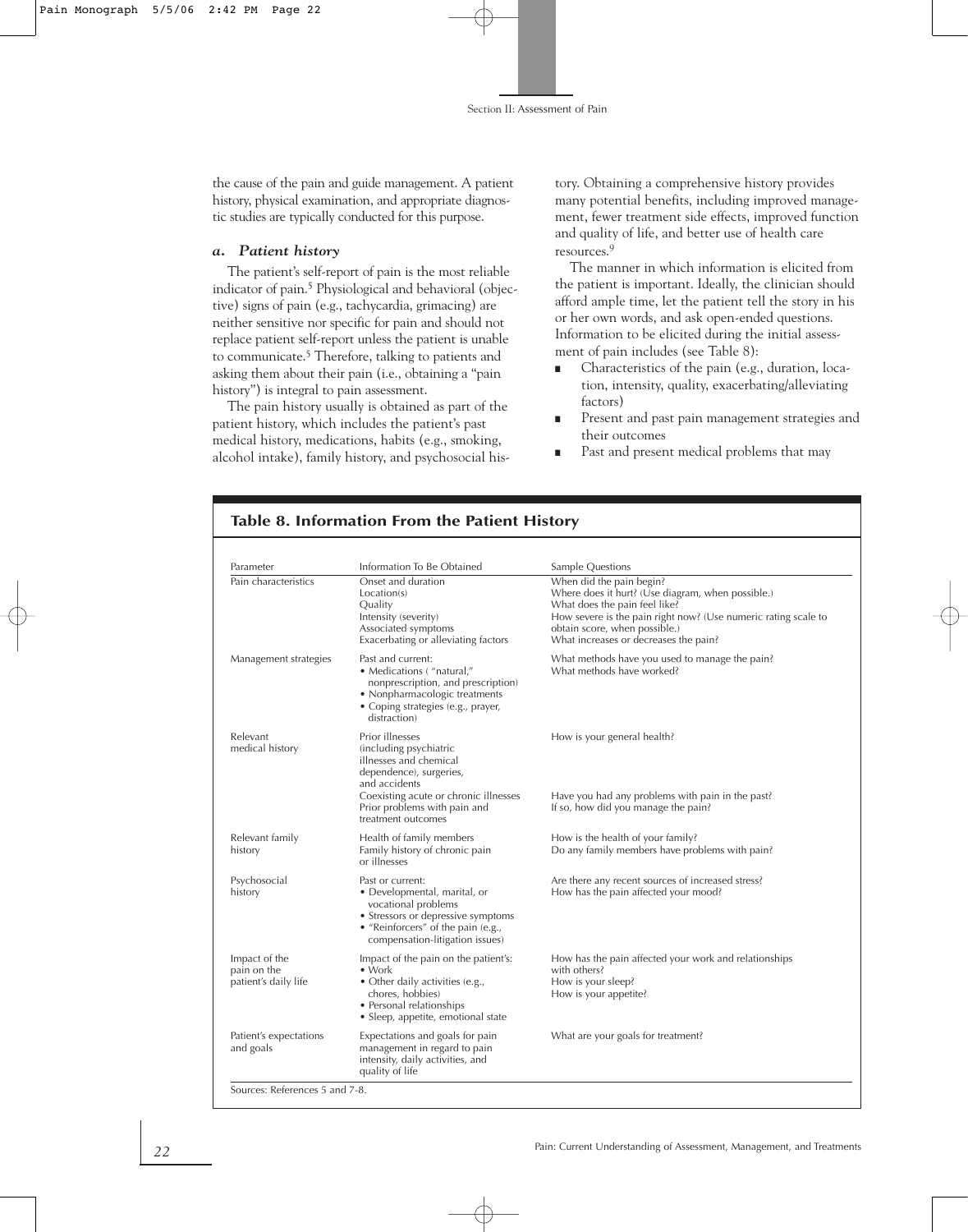the cause of the pain and guide management. A patient history, physical examination, and appropriate diagnostic studies are typically conducted for this purpose.

#### *a. Patient history*

The patient's self-report of pain is the most reliable indicator of pain. <sup>5</sup> Physiological and behavioral (objective) signs of pain (e.g., tachycardia, grimacing) are neither sensitive nor specific for pain and should not replace patient self-report unless the patient is unable to communicate. <sup>5</sup> Therefore, talking to patients and asking them about their pain (i.e., obtaining a "pain history") is integral to pain assessment.

The pain history usually is obtained as part of the patient history, which includes the patient's past medical history, medications, habits (e.g., smoking, alcohol intake), family history, and psychosocial history. Obtaining a comprehensive history provides many potential benefits, including improved management, fewer treatment side effects, improved function and quality of life, and better use of health care resources.9

The manner in which information is elicited from the patient is important. Ideally, the clinician should afford ample time, let the patient tell the story in his or her own words, and ask open-ended questions. Information to be elicited during the initial assessment of pain includes (see Table 8):

- Characteristics of the pain (e.g., duration, location, intensity, quality, exacerbating/alleviating factors)
- Present and past pain management strategies and their outcomes
- Past and present medical problems that may

| Parameter                                            | Information To Be Obtained                                                                                                                                                                                     | Sample Questions                                                                                                                                                                                                                                           |
|------------------------------------------------------|----------------------------------------------------------------------------------------------------------------------------------------------------------------------------------------------------------------|------------------------------------------------------------------------------------------------------------------------------------------------------------------------------------------------------------------------------------------------------------|
| Pain characteristics                                 | Onset and duration<br>Location(s)<br>Quality<br>Intensity (severity)<br>Associated symptoms<br>Exacerbating or alleviating factors                                                                             | When did the pain begin?<br>Where does it hurt? (Use diagram, when possible.)<br>What does the pain feel like?<br>How severe is the pain right now? (Use numeric rating scale to<br>obtain score, when possible.)<br>What increases or decreases the pain? |
| Management strategies                                | Past and current:<br>• Medications ("natural,"<br>nonprescription, and prescription)<br>• Nonpharmacologic treatments<br>• Coping strategies (e.g., prayer,<br>distraction)                                    | What methods have you used to manage the pain?<br>What methods have worked?                                                                                                                                                                                |
| Relevant<br>medical history                          | Prior illnesses<br>(including psychiatric<br>illnesses and chemical<br>dependence), surgeries,<br>and accidents<br>Coexisting acute or chronic illnesses<br>Prior problems with pain and<br>treatment outcomes | How is your general health?<br>Have you had any problems with pain in the past?<br>If so, how did you manage the pain?                                                                                                                                     |
| Relevant family<br>history                           | Health of family members<br>Family history of chronic pain<br>or illnesses                                                                                                                                     | How is the health of your family?<br>Do any family members have problems with pain?                                                                                                                                                                        |
| Psychosocial<br>history                              | Past or current:<br>• Developmental, marital, or<br>vocational problems<br>• Stressors or depressive symptoms<br>• "Reinforcers" of the pain (e.g.,<br>compensation-litigation issues)                         | Are there any recent sources of increased stress?<br>How has the pain affected your mood?                                                                                                                                                                  |
| Impact of the<br>pain on the<br>patient's daily life | Impact of the pain on the patient's:<br>$\bullet$ Work<br>• Other daily activities (e.g.,<br>chores, hobbies)<br>• Personal relationships<br>• Sleep, appetite, emotional state                                | How has the pain affected your work and relationships<br>with others?<br>How is your sleep?<br>How is your appetite?                                                                                                                                       |
| Patient's expectations<br>and goals                  | Expectations and goals for pain<br>management in regard to pain<br>intensity, daily activities, and<br>quality of life                                                                                         | What are your goals for treatment?                                                                                                                                                                                                                         |

#### **Table 8. Information From the Patient History**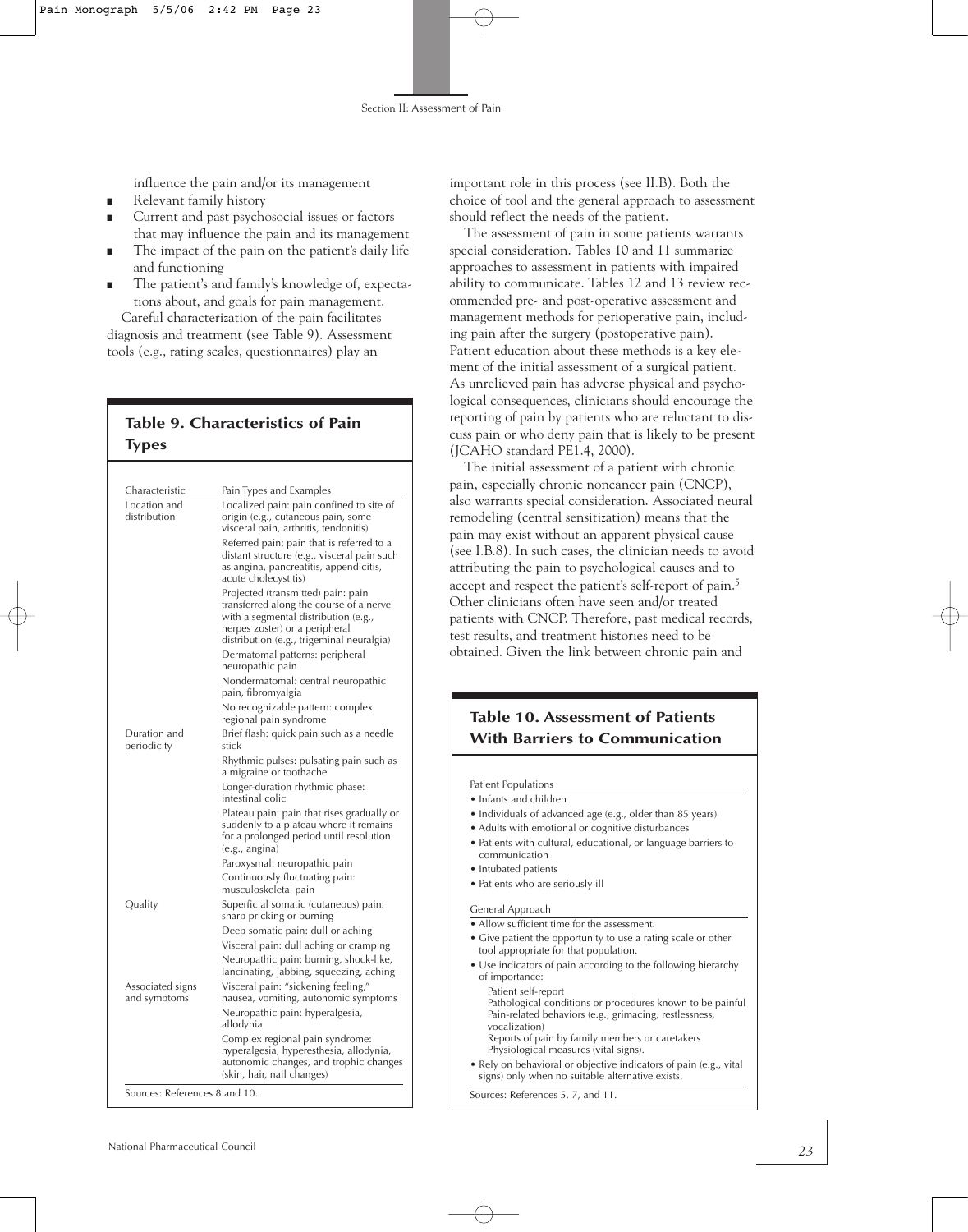influence the pain and/or its management

- Relevant family history
- Current and past psychosocial issues or factors that may influence the pain and its management
- The impact of the pain on the patient's daily life and functioning
- The patient's and family's knowledge of, expectations about, and goals for pain management. Careful characterization of the pain facilitates

diagnosis and treatment (see Table 9). Assessment tools (e.g., rating scales, questionnaires) play an

## **Table 9. Characteristics of Pain Types**

| Characteristic                   | Pain Types and Examples                                                                                                                                                                              |  |
|----------------------------------|------------------------------------------------------------------------------------------------------------------------------------------------------------------------------------------------------|--|
| Location and<br>distribution     | Localized pain: pain confined to site of<br>origin (e.g., cutaneous pain, some<br>visceral pain, arthritis, tendonitis)                                                                              |  |
|                                  | Referred pain: pain that is referred to a<br>distant structure (e.g., visceral pain such<br>as angina, pancreatitis, appendicitis,<br>acute cholecystitis)                                           |  |
|                                  | Projected (transmitted) pain: pain<br>transferred along the course of a nerve<br>with a segmental distribution (e.g.,<br>herpes zoster) or a peripheral<br>distribution (e.g., trigeminal neuralgia) |  |
|                                  | Dermatomal patterns: peripheral<br>neuropathic pain                                                                                                                                                  |  |
|                                  | Nondermatomal: central neuropathic<br>pain, fibromyalgia                                                                                                                                             |  |
|                                  | No recognizable pattern: complex<br>regional pain syndrome                                                                                                                                           |  |
| Duration and<br>periodicity      | Brief flash: quick pain such as a needle<br>stick                                                                                                                                                    |  |
|                                  | Rhythmic pulses: pulsating pain such as<br>a migraine or toothache                                                                                                                                   |  |
|                                  | Longer-duration rhythmic phase:<br>intestinal colic                                                                                                                                                  |  |
|                                  | Plateau pain: pain that rises gradually or<br>suddenly to a plateau where it remains<br>for a prolonged period until resolution<br>(e.g., angina)                                                    |  |
|                                  | Paroxysmal: neuropathic pain                                                                                                                                                                         |  |
|                                  | Continuously fluctuating pain:<br>musculoskeletal pain                                                                                                                                               |  |
| Quality                          | Superficial somatic (cutaneous) pain:<br>sharp pricking or burning                                                                                                                                   |  |
|                                  | Deep somatic pain: dull or aching                                                                                                                                                                    |  |
|                                  | Visceral pain: dull aching or cramping                                                                                                                                                               |  |
|                                  | Neuropathic pain: burning, shock-like,<br>lancinating, jabbing, squeezing, aching                                                                                                                    |  |
| Associated signs<br>and symptoms | Visceral pain: "sickening feeling,"<br>nausea, vomiting, autonomic symptoms                                                                                                                          |  |
|                                  | Neuropathic pain: hyperalgesia,<br>allodynia                                                                                                                                                         |  |
|                                  | Complex regional pain syndrome:<br>hyperalgesia, hyperesthesia, allodynia,<br>autonomic changes, and trophic changes<br>(skin, hair, nail changes)                                                   |  |

important role in this process (see II.B). Both the choice of tool and the general approach to assessment should reflect the needs of the patient.

The assessment of pain in some patients warrants special consideration. Tables 10 and 11 summarize approaches to assessment in patients with impaired ability to communicate. Tables 12 and 13 review recommended pre- and post-operative assessment and management methods for perioperative pain, including pain after the surgery (postoperative pain). Patient education about these methods is a key element of the initial assessment of a surgical patient. As unrelieved pain has adverse physical and psychological consequences, clinicians should encourage the reporting of pain by patients who are reluctant to discuss pain or who deny pain that is likely to be present (JCAHO standard PE1.4, 2000).

The initial assessment of a patient with chronic pain, especially chronic noncancer pain (CNCP), also warrants special consideration. Associated neural remodeling (central sensitization) means that the pain may exist without an apparent physical cause (see I.B.8). In such cases, the clinician needs to avoid attributing the pain to psychological causes and to accept and respect the patient's self-report of pain.5 Other clinicians often have seen and/or treated patients with CNCP. Therefore, past medical records, test results, and treatment histories need to be obtained. Given the link between chronic pain and

## **Table 10. Assessment of Patients With Barriers to Communication**

Patient Populations

- Infants and children
- Individuals of advanced age (e.g., older than 85 years)
- Adults with emotional or cognitive disturbances
- Patients with cultural, educational, or language barriers to communication
- Intubated patients
- Patients who are seriously ill

General Approach

- Allow sufficient time for the assessment.
- Give patient the opportunity to use a rating scale or other tool appropriate for that population.
- Use indicators of pain according to the following hierarchy of importance: Patient self-report
- Pathological conditions or procedures known to be painful Pain-related behaviors (e.g., grimacing, restlessness, vocalization)
- Reports of pain by family members or caretakers Physiological measures (vital signs).
- Rely on behavioral or objective indicators of pain (e.g., vital signs) only when no suitable alternative exists.

Sources: References 5, 7, and 11.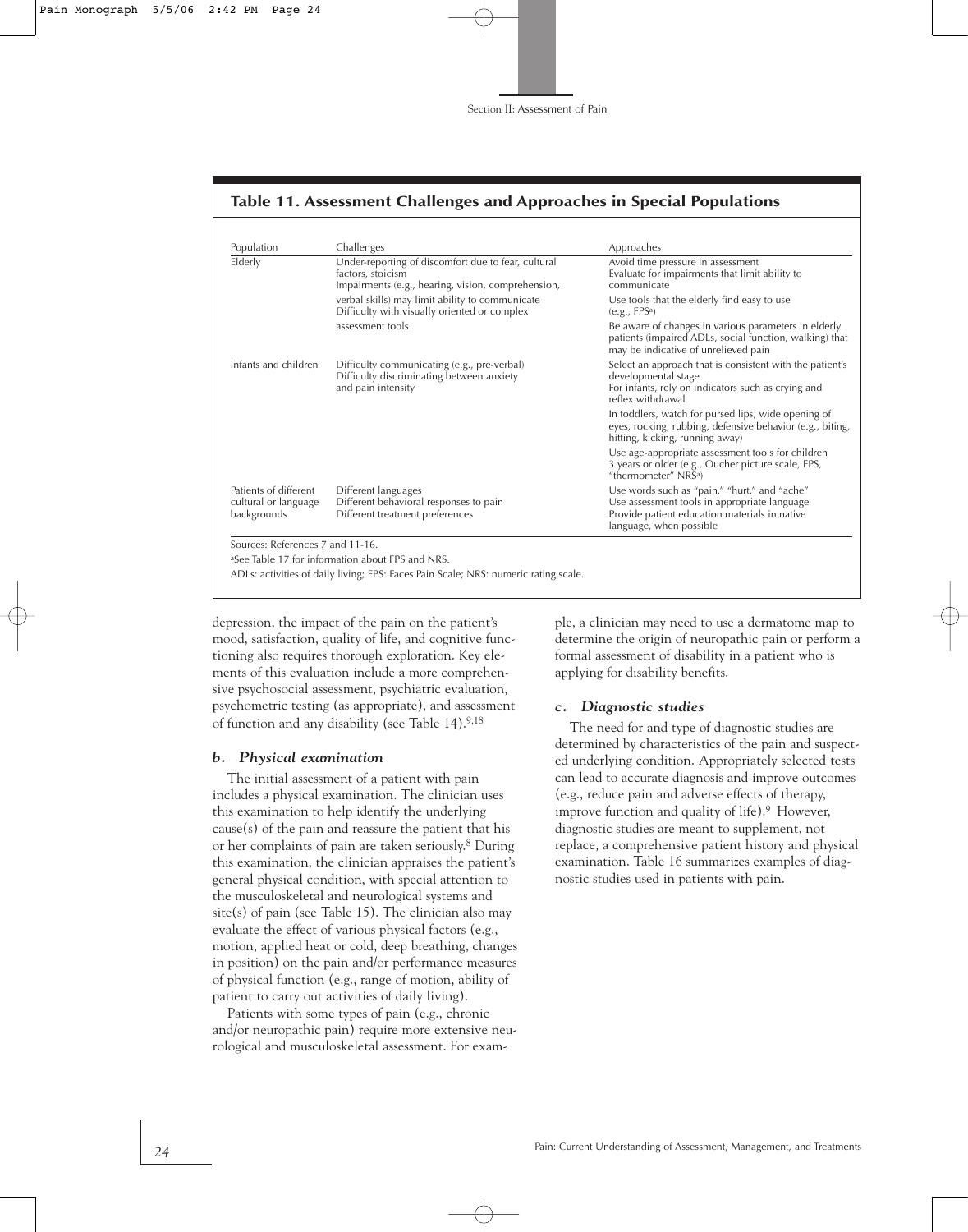| Table 11. Assessment Challenges and Approaches in Special Populations |  |  |  |
|-----------------------------------------------------------------------|--|--|--|
|                                                                       |  |  |  |

| Population                                                   | Challenges                                                                                                                     | Approaches                                                                                                                                                               |  |  |
|--------------------------------------------------------------|--------------------------------------------------------------------------------------------------------------------------------|--------------------------------------------------------------------------------------------------------------------------------------------------------------------------|--|--|
| Elderly                                                      | Under-reporting of discomfort due to fear, cultural<br>factors, stoicism<br>Impairments (e.g., hearing, vision, comprehension, | Avoid time pressure in assessment<br>Evaluate for impairments that limit ability to<br>communicate                                                                       |  |  |
|                                                              | verbal skills) may limit ability to communicate<br>Difficulty with visually oriented or complex                                | Use tools that the elderly find easy to use<br>(e.g., FPS <sup>a</sup> )                                                                                                 |  |  |
|                                                              | assessment tools                                                                                                               | Be aware of changes in various parameters in elderly<br>patients (impaired ADLs, social function, walking) that<br>may be indicative of unrelieved pain                  |  |  |
| Infants and children                                         | Difficulty communicating (e.g., pre-verbal)<br>Difficulty discriminating between anxiety<br>and pain intensity                 | Select an approach that is consistent with the patient's<br>developmental stage<br>For infants, rely on indicators such as crying and<br>reflex withdrawal               |  |  |
|                                                              |                                                                                                                                | In toddlers, watch for pursed lips, wide opening of<br>eyes, rocking, rubbing, defensive behavior (e.g., biting,<br>hitting, kicking, running away)                      |  |  |
|                                                              |                                                                                                                                | Use age-appropriate assessment tools for children<br>3 years or older (e.g., Oucher picture scale, FPS,<br>"thermometer" NRSa)                                           |  |  |
| Patients of different<br>cultural or language<br>backgrounds | Different languages<br>Different behavioral responses to pain<br>Different treatment preferences                               | Use words such as "pain," "hurt," and "ache"<br>Use assessment tools in appropriate language<br>Provide patient education materials in native<br>language, when possible |  |  |

aSee Table 17 for information about FPS and NRS.

ADLs: activities of daily living; FPS: Faces Pain Scale; NRS: numeric rating scale.

depression, the impact of the pain on the patient's mood, satisfaction, quality of life, and cognitive functioning also requires thorough exploration. Key elements of this evaluation include a more comprehensive psychosocial assessment, psychiatric evaluation, psychometric testing (as appropriate), and assessment of function and any disability (see Table 14).9,18

#### *b. Physical examination*

The initial assessment of a patient with pain includes a physical examination. The clinician uses this examination to help identify the underlying cause(s) of the pain and reassure the patient that his or her complaints of pain are taken seriously. <sup>8</sup> During this examination, the clinician appraises the patient's general physical condition, with special attention to the musculoskeletal and neurological systems and site(s) of pain (see Table 15). The clinician also may evaluate the effect of various physical factors (e.g., motion, applied heat or cold, deep breathing, changes in position) on the pain and/or performance measures of physical function (e.g., range of motion, ability of patient to carry out activities of daily living).

Patients with some types of pain (e.g., chronic and/or neuropathic pain) require more extensive neurological and musculoskeletal assessment. For example, a clinician may need to use a dermatome map to determine the origin of neuropathic pain or perform a formal assessment of disability in a patient who is applying for disability benefits.

#### *c. Diagnostic studies*

The need for and type of diagnostic studies are determined by characteristics of the pain and suspected underlying condition. Appropriately selected tests can lead to accurate diagnosis and improve outcomes (e.g., reduce pain and adverse effects of therapy, improve function and quality of life).9 However, diagnostic studies are meant to supplement, not replace, a comprehensive patient history and physical examination. Table 16 summarizes examples of diagnostic studies used in patients with pain.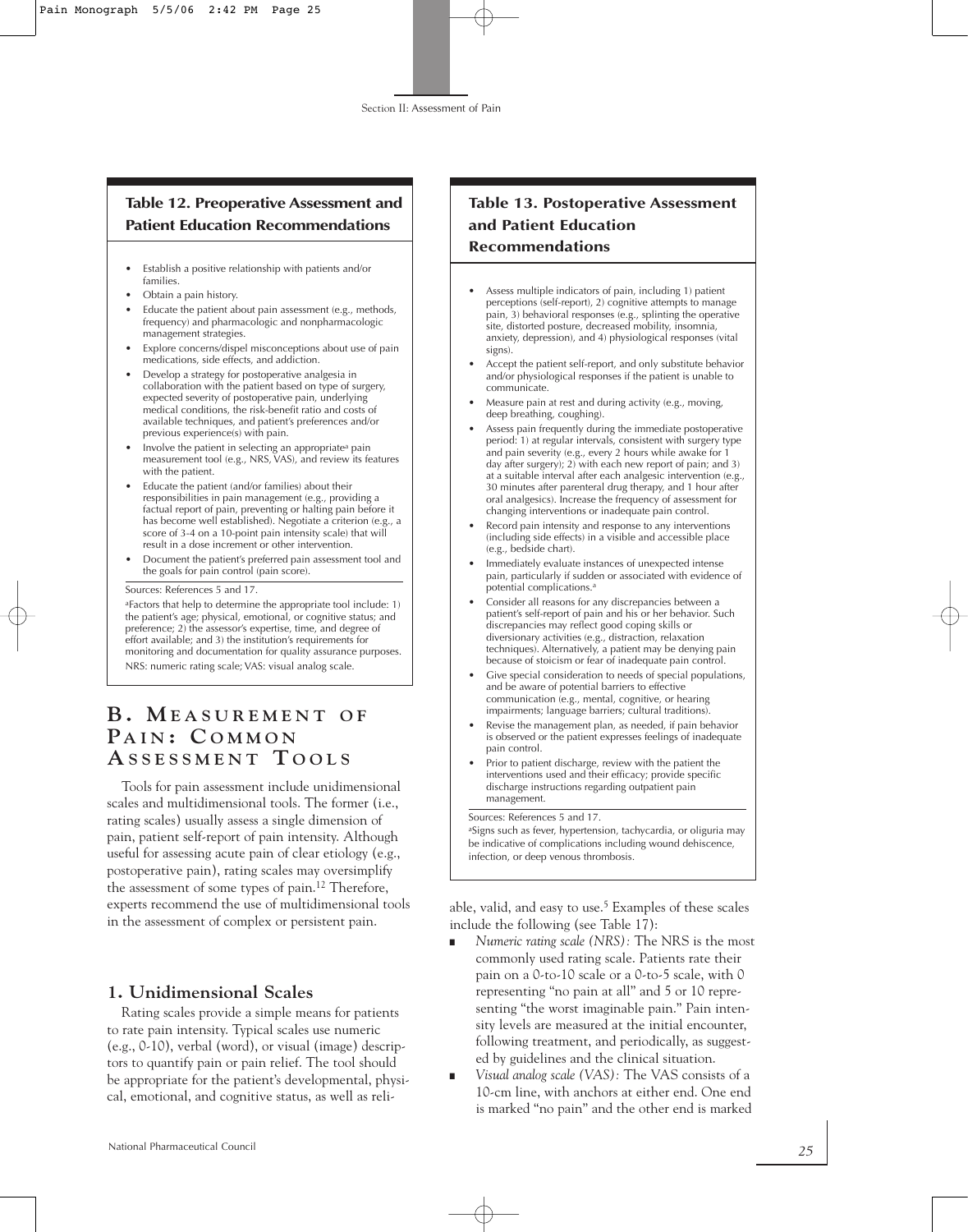## **Table 12. Preoperative Assessment and Patient Education Recommendations**

- Establish a positive relationship with patients and/or families.
- Obtain a pain history.
- Educate the patient about pain assessment (e.g., methods, frequency) and pharmacologic and nonpharmacologic management strategies.
- Explore concerns/dispel misconceptions about use of pain medications, side effects, and addiction.
- Develop a strategy for postoperative analgesia in collaboration with the patient based on type of surgery, expected severity of postoperative pain, underlying medical conditions, the risk-benefit ratio and costs of available techniques, and patient's preferences and/or previous experience(s) with pain.
- Involve the patient in selecting an appropriatea pain measurement tool (e.g., NRS, VAS), and review its features with the patient.
- Educate the patient (and/or families) about their responsibilities in pain management (e.g., providing a factual report of pain, preventing or halting pain before it has become well established). Negotiate a criterion (e.g., a score of 3-4 on a 10-point pain intensity scale) that will result in a dose increment or other intervention.
- Document the patient's preferred pain assessment tool and the goals for pain control (pain score).

Sources: References 5 and 17.

aFactors that help to determine the appropriate tool include: 1) the patient's age; physical, emotional, or cognitive status; and preference; 2) the assessor's expertise, time, and degree of effort available; and 3) the institution's requirements for monitoring and documentation for quality assurance purposes. NRS: numeric rating scale; VAS: visual analog scale.

# **B . M E A S U R E M E N T O F PA I N : C O M M O N**  $A$  **S SESSMENT TOOLS**

Tools for pain assessment include unidimensional scales and multidimensional tools. The former (i.e., rating scales) usually assess a single dimension of pain, patient self-report of pain intensity. Although useful for assessing acute pain of clear etiology (e.g., postoperative pain), rating scales may oversimplify the assessment of some types of pain.12 Therefore, experts recommend the use of multidimensional tools in the assessment of complex or persistent pain.

#### **1. Unidimensional Scales**

Rating scales provide a simple means for patients to rate pain intensity. Typical scales use numeric (e.g., 0-10), verbal (word), or visual (image) descriptors to quantify pain or pain relief. The tool should be appropriate for the patient's developmental, physical, emotional, and cognitive status, as well as reli-

## **Table 13. Postoperative Assessment and Patient Education Recommendations**

- Assess multiple indicators of pain, including 1) patient perceptions (self-report), 2) cognitive attempts to manage pain, 3) behavioral responses (e.g., splinting the operative site, distorted posture, decreased mobility, insomnia, anxiety, depression), and 4) physiological responses (vital signs).
- Accept the patient self-report, and only substitute behavior and/or physiological responses if the patient is unable to communicate.
- Measure pain at rest and during activity (e.g., moving, deep breathing, coughing).
- Assess pain frequently during the immediate postoperative period: 1) at regular intervals, consistent with surgery type and pain severity (e.g., every 2 hours while awake for 1 day after surgery); 2) with each new report of pain; and 3) at a suitable interval after each analgesic intervention (e.g., 30 minutes after parenteral drug therapy, and 1 hour after oral analgesics). Increase the frequency of assessment for changing interventions or inadequate pain control.
- Record pain intensity and response to any interventions (including side effects) in a visible and accessible place (e.g., bedside chart).
- Immediately evaluate instances of unexpected intense pain, particularly if sudden or associated with evidence of potential complications.<sup>a</sup>
- Consider all reasons for any discrepancies between a patient's self-report of pain and his or her behavior. Such discrepancies may reflect good coping skills or diversionary activities (e.g., distraction, relaxation techniques). Alternatively, a patient may be denying pain because of stoicism or fear of inadequate pain control.
- Give special consideration to needs of special populations, and be aware of potential barriers to effective communication (e.g., mental, cognitive, or hearing impairments; language barriers; cultural traditions).
- Revise the management plan, as needed, if pain behavior is observed or the patient expresses feelings of inadequate pain control.
- Prior to patient discharge, review with the patient the interventions used and their efficacy; provide specific discharge instructions regarding outpatient pain management.

Sources: References 5 and 17.

<sup>a</sup>Signs such as fever, hypertension, tachycardia, or oliguria may be indicative of complications including wound dehiscence, infection, or deep venous thrombosis.

able, valid, and easy to use.5 Examples of these scales include the following (see Table 17):

- *Numeric rating scale (NRS):* The NRS is the most commonly used rating scale. Patients rate their pain on a 0-to-10 scale or a 0-to-5 scale, with 0 representing "no pain at all" and 5 or 10 representing "the worst imaginable pain." Pain intensity levels are measured at the initial encounter, following treatment, and periodically, as suggested by guidelines and the clinical situation.
- *Visual analog scale (VAS)*: The VAS consists of a 10-cm line, with anchors at either end. One end is marked "no pain" and the other end is marked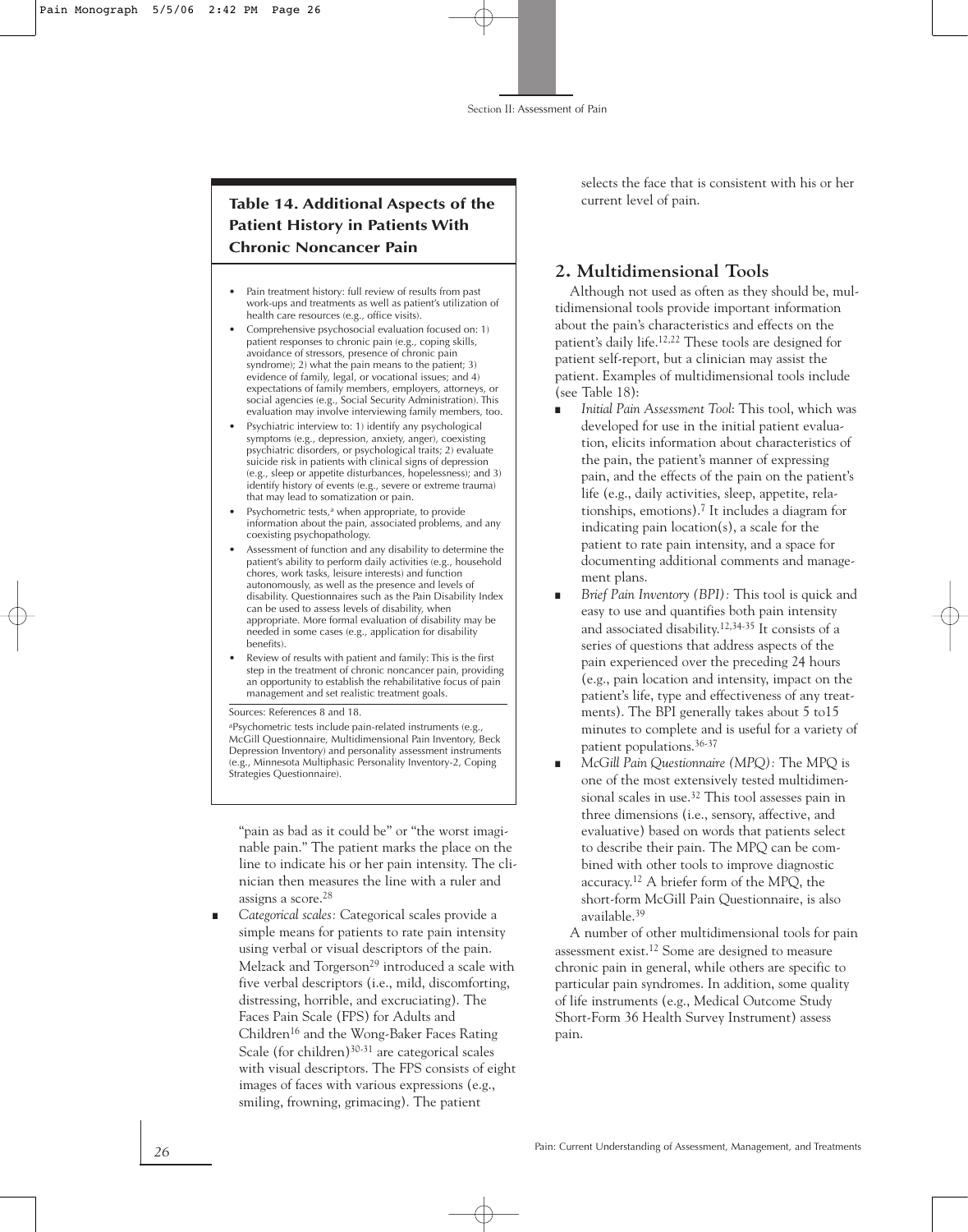## **Table 14. Additional Aspects of the Patient History in Patients With Chronic Noncancer Pain**

- Pain treatment history: full review of results from past work-ups and treatments as well as patient's utilization of health care resources (e.g., office visits).
- Comprehensive psychosocial evaluation focused on: 1) patient responses to chronic pain (e.g., coping skills, avoidance of stressors, presence of chronic pain syndrome); 2) what the pain means to the patient; 3) evidence of family, legal, or vocational issues; and 4) expectations of family members, employers, attorneys, or social agencies (e.g., Social Security Administration). This evaluation may involve interviewing family members, too.
- Psychiatric interview to: 1) identify any psychological symptoms (e.g., depression, anxiety, anger), coexisting psychiatric disorders, or psychological traits; 2) evaluate suicide risk in patients with clinical signs of depression (e.g., sleep or appetite disturbances, hopelessness); and 3) identify history of events (e.g., severe or extreme trauma) that may lead to somatization or pain.
- Psychometric tests,<sup>a</sup> when appropriate, to provide information about the pain, associated problems, and any coexisting psychopathology.
- Assessment of function and any disability to determine the patient's ability to perform daily activities (e.g., household chores, work tasks, leisure interests) and function autonomously, as well as the presence and levels of disability. Questionnaires such as the Pain Disability Index can be used to assess levels of disability, when appropriate. More formal evaluation of disability may be needed in some cases (e.g., application for disability benefits).
- Review of results with patient and family: This is the first step in the treatment of chronic noncancer pain, providing an opportunity to establish the rehabilitative focus of pain management and set realistic treatment goals.

Sources: References 8 and 18.

aPsychometric tests include pain-related instruments (e.g., McGill Questionnaire, Multidimensional Pain Inventory, Beck Depression Inventory) and personality assessment instruments (e.g., Minnesota Multiphasic Personality Inventory-2, Coping Strategies Questionnaire).

"pain as bad as it could be" or "the worst imaginable pain." The patient marks the place on the line to indicate his or her pain intensity. The clinician then measures the line with a ruler and assigns a score.28

Categorical scales: Categorical scales provide a simple means for patients to rate pain intensity using verbal or visual descriptors of the pain. Melzack and Torgerson<sup>29</sup> introduced a scale with five verbal descriptors (i.e., mild, discomforting, distressing, horrible, and excruciating). The Faces Pain Scale (FPS) for Adults and Children16 and the Wong-Baker Faces Rating Scale (for children)<sup>30-31</sup> are categorical scales with visual descriptors. The FPS consists of eight images of faces with various expressions (e.g., smiling, frowning, grimacing). The patient

selects the face that is consistent with his or her current level of pain.

## **2. Multidimensional Tools**

Although not used as often as they should be, multidimensional tools provide important information about the pain's characteristics and effects on the patient's daily life.12,22 These tools are designed for patient self-report, but a clinician may assist the patient. Examples of multidimensional tools include (see Table 18):

- *Initial Pain Assessment Tool: This tool, which was* developed for use in the initial patient evaluation, elicits information about characteristics of the pain, the patient's manner of expressing pain, and the effects of the pain on the patient's life (e.g., daily activities, sleep, appetite, relationships, emotions).7 It includes a diagram for indicating pain location(s), a scale for the patient to rate pain intensity, and a space for documenting additional comments and management plans.
- *Brief Pain Inventory (BPI)*: This tool is quick and easy to use and quantifies both pain intensity and associated disability. 12,34-35 It consists of a series of questions that address aspects of the pain experienced over the preceding 24 hours (e.g., pain location and intensity, impact on the patient's life, type and effectiveness of any treatments). The BPI generally takes about 5 to15 minutes to complete and is useful for a variety of patient populations.36-37
- *McGill Pain Questionnaire (MPQ)*: The MPQ is one of the most extensively tested multidimensional scales in use.32 This tool assesses pain in three dimensions (i.e., sensory, affective, and evaluative) based on words that patients select to describe their pain. The MPQ can be combined with other tools to improve diagnostic accuracy. <sup>12</sup> A briefer form of the MPQ, the short-form McGill Pain Questionnaire, is also available.39

A number of other multidimensional tools for pain assessment exist.12 Some are designed to measure chronic pain in general, while others are specific to particular pain syndromes. In addition, some quality of life instruments (e.g., Medical Outcome Study Short-Form 36 Health Survey Instrument) assess pain.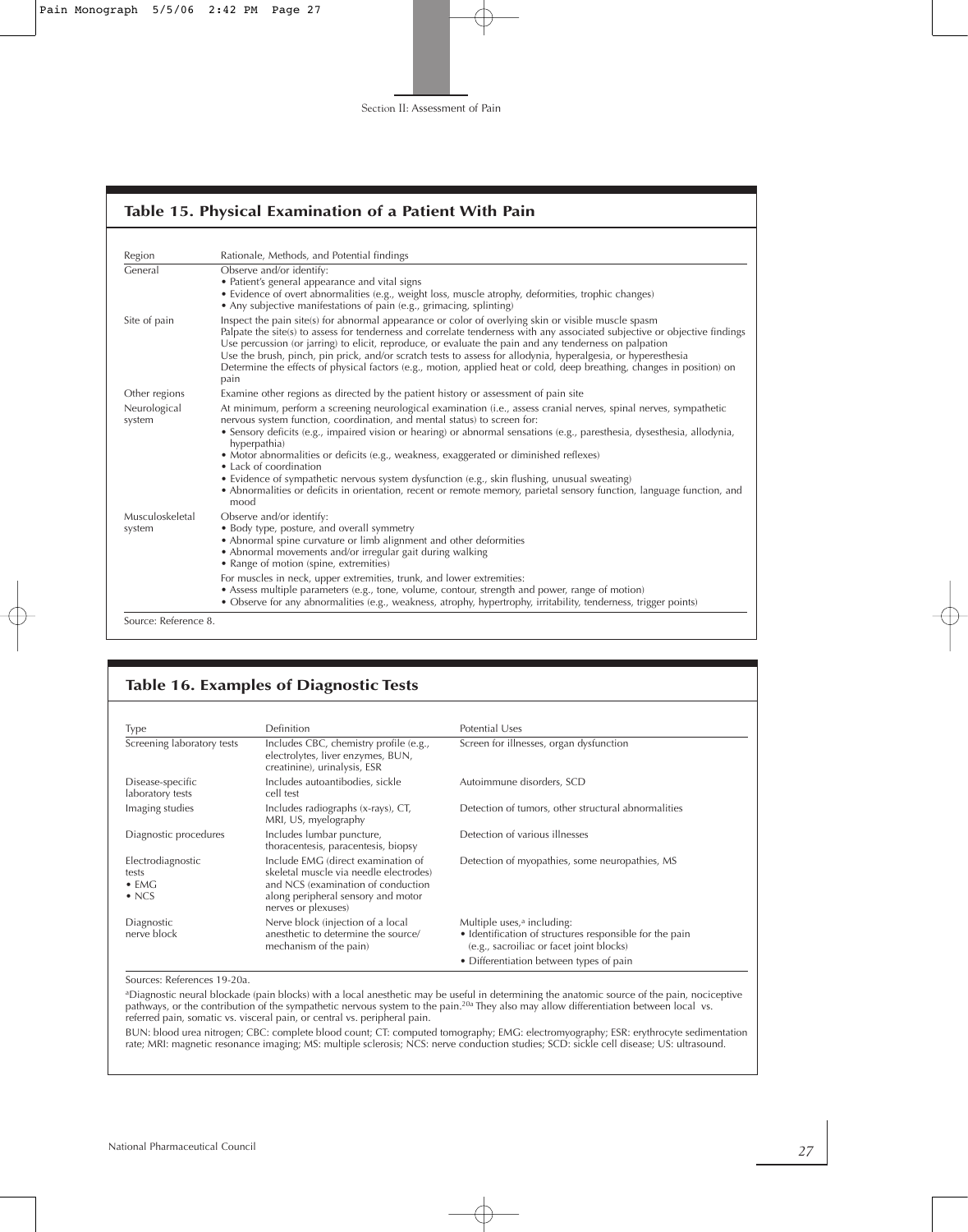## **Table 15. Physical Examination of a Patient With Pain**

| Region                 | Rationale, Methods, and Potential findings                                                                                                                                                                                                                                                                                                                                                                                                                                                                                                                                                                                                                                                      |  |  |  |
|------------------------|-------------------------------------------------------------------------------------------------------------------------------------------------------------------------------------------------------------------------------------------------------------------------------------------------------------------------------------------------------------------------------------------------------------------------------------------------------------------------------------------------------------------------------------------------------------------------------------------------------------------------------------------------------------------------------------------------|--|--|--|
| General                | Observe and/or identify:<br>• Patient's general appearance and vital signs<br>• Evidence of overt abnormalities (e.g., weight loss, muscle atrophy, deformities, trophic changes)<br>• Any subjective manifestations of pain (e.g., grimacing, splinting)                                                                                                                                                                                                                                                                                                                                                                                                                                       |  |  |  |
| Site of pain           | Inspect the pain site(s) for abnormal appearance or color of overlying skin or visible muscle spasm<br>Palpate the site(s) to assess for tenderness and correlate tenderness with any associated subjective or objective findings<br>Use percussion (or jarring) to elicit, reproduce, or evaluate the pain and any tenderness on palpation<br>Use the brush, pinch, pin prick, and/or scratch tests to assess for allodynia, hyperalgesia, or hyperesthesia<br>Determine the effects of physical factors (e.g., motion, applied heat or cold, deep breathing, changes in position) on<br>pain                                                                                                  |  |  |  |
| Other regions          | Examine other regions as directed by the patient history or assessment of pain site                                                                                                                                                                                                                                                                                                                                                                                                                                                                                                                                                                                                             |  |  |  |
| Neurological<br>system | At minimum, perform a screening neurological examination (i.e., assess cranial nerves, spinal nerves, sympathetic<br>nervous system function, coordination, and mental status) to screen for:<br>• Sensory deficits (e.g., impaired vision or hearing) or abnormal sensations (e.g., paresthesia, dysesthesia, allodynia,<br>hyperpathia)<br>• Motor abnormalities or deficits (e.g., weakness, exaggerated or diminished reflexes)<br>• Lack of coordination<br>• Evidence of sympathetic nervous system dysfunction (e.g., skin flushing, unusual sweating)<br>• Abnormalities or deficits in orientation, recent or remote memory, parietal sensory function, language function, and<br>mood |  |  |  |
| Musculoskeletal        | Observe and/or identify:                                                                                                                                                                                                                                                                                                                                                                                                                                                                                                                                                                                                                                                                        |  |  |  |
| system                 | • Body type, posture, and overall symmetry<br>• Abnormal spine curvature or limb alignment and other deformities<br>• Abnormal movements and/or irregular gait during walking<br>• Range of motion (spine, extremities)                                                                                                                                                                                                                                                                                                                                                                                                                                                                         |  |  |  |
|                        | For muscles in neck, upper extremities, trunk, and lower extremities:<br>• Assess multiple parameters (e.g., tone, volume, contour, strength and power, range of motion)<br>• Observe for any abnormalities (e.g., weakness, atrophy, hypertrophy, irritability, tenderness, trigger points)                                                                                                                                                                                                                                                                                                                                                                                                    |  |  |  |

Source: Reference 8.

#### **Table 16. Examples of Diagnostic Tests**

| Type                                                         | Definition                                                                                                                                                                      | Potential Uses                                                                                                                                                                           |
|--------------------------------------------------------------|---------------------------------------------------------------------------------------------------------------------------------------------------------------------------------|------------------------------------------------------------------------------------------------------------------------------------------------------------------------------------------|
| Screening laboratory tests                                   | Includes CBC, chemistry profile (e.g.,<br>electrolytes, liver enzymes, BUN,<br>creatinine), urinalysis, ESR                                                                     | Screen for illnesses, organ dysfunction                                                                                                                                                  |
| Disease-specific<br>laboratory tests                         | Includes autoantibodies, sickle<br>cell test                                                                                                                                    | Autoimmune disorders, SCD                                                                                                                                                                |
| Imaging studies                                              | Includes radiographs (x-rays), CT,<br>MRI, US, myelography                                                                                                                      | Detection of tumors, other structural abnormalities                                                                                                                                      |
| Diagnostic procedures                                        | Includes lumbar puncture,<br>thoracentesis, paracentesis, biopsy                                                                                                                | Detection of various illnesses                                                                                                                                                           |
| Electrodiagnostic<br>tests<br>$\bullet$ EMG<br>$\bullet$ NCS | Include EMG (direct examination of<br>skeletal muscle via needle electrodes)<br>and NCS (examination of conduction<br>along peripheral sensory and motor<br>nerves or plexuses) | Detection of myopathies, some neuropathies, MS                                                                                                                                           |
| Diagnostic<br>nerve block                                    | Nerve block (injection of a local<br>anesthetic to determine the source/<br>mechanism of the pain)                                                                              | Multiple uses, <sup>a</sup> including:<br>• Identification of structures responsible for the pain<br>(e.g., sacroiliac or facet joint blocks)<br>• Differentiation between types of pain |

Sources: References 19-20a.

<sup>a</sup>Diagnostic neural blockade (pain blocks) with a local anesthetic may be useful in determining the anatomic source of the pain, nociceptive<br>pathways, or the contribution of the sympathetic nervous system to the pain.<sup>20a</sup> referred pain, somatic vs. visceral pain, or central vs. peripheral pain.

BUN: blood urea nitrogen; CBC: complete blood count; CT: computed tomography; EMG: electromyography; ESR: erythrocyte sedimentation<br>rate; MRI: magnetic resonance imaging; MS: multiple sclerosis; NCS: nerve conduction studi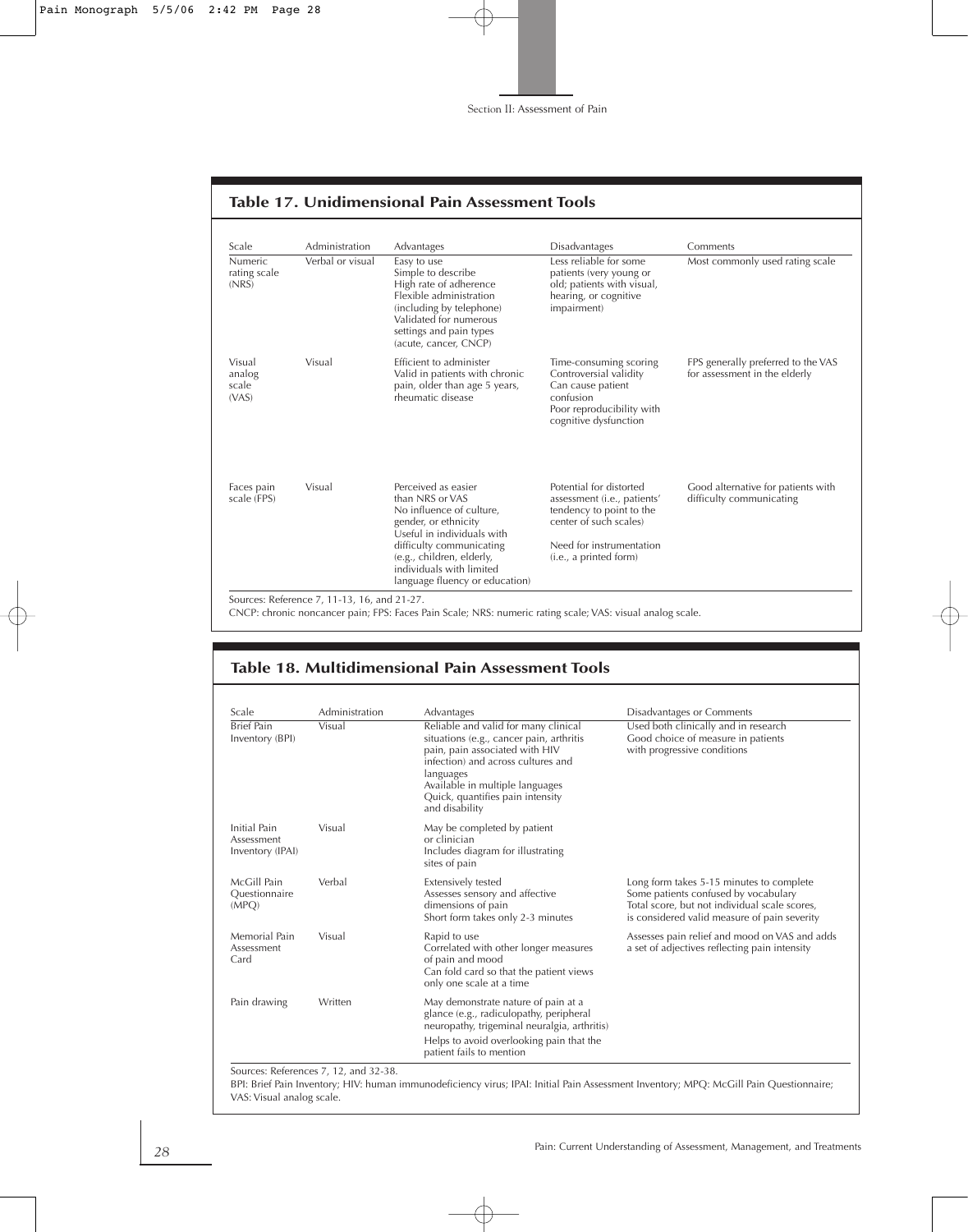| Scale                                   | Administration   | Advantages                                                                                                                                                                                                                                      | Disadvantages                                                                                                                                                      | Comments                                                            |
|-----------------------------------------|------------------|-------------------------------------------------------------------------------------------------------------------------------------------------------------------------------------------------------------------------------------------------|--------------------------------------------------------------------------------------------------------------------------------------------------------------------|---------------------------------------------------------------------|
| <b>Numeric</b><br>rating scale<br>(NRS) | Verbal or visual | Easy to use<br>Simple to describe<br>High rate of adherence<br>Elexible administration<br>(including by telephone)<br>Validated for numerous<br>settings and pain types<br>(acute, cancer, CNCP)                                                | Less reliable for some<br>patients (very young or<br>old; patients with visual,<br>hearing, or cognitive<br>impairment)                                            | Most commonly used rating scale                                     |
| Visual<br>analog<br>scale<br>(VAS)      | Visual           | Efficient to administer<br>Valid in patients with chronic<br>pain, older than age 5 years,<br>rheumatic disease                                                                                                                                 | Time-consuming scoring<br>Controversial validity<br>Can cause patient<br>confusion<br>Poor reproducibility with<br>cognitive dysfunction                           | FPS generally preferred to the VAS<br>for assessment in the elderly |
| Faces pain<br>scale (FPS)               | Visual           | Perceived as easier<br>than NRS or VAS<br>No influence of culture,<br>gender, or ethnicity<br>Useful in individuals with<br>difficulty communicating<br>(e.g., children, elderly,<br>individuals with limited<br>language fluency or education) | Potential for distorted<br>assessment (i.e., patients'<br>tendency to point to the<br>center of such scales)<br>Need for instrumentation<br>(i.e., a printed form) | Good alternative for patients with<br>difficulty communicating      |

#### **Table 17. Unidimensional Pain Assessment Tools**

Sources: Reference 7, 11-13, 16, and 21-27.

CNCP: chronic noncancer pain; FPS: Faces Pain Scale; NRS: numeric rating scale; VAS: visual analog scale.

#### **Table 18. Multidimensional Pain Assessment Tools**

| Scale                                          | Administration | Advantages                                                                                                                                                                                                                                                     | Disadvantages or Comments                                                                                                                                                         |
|------------------------------------------------|----------------|----------------------------------------------------------------------------------------------------------------------------------------------------------------------------------------------------------------------------------------------------------------|-----------------------------------------------------------------------------------------------------------------------------------------------------------------------------------|
| <b>Brief Pain</b><br>Inventory (BPI)           | Visual         | Reliable and valid for many clinical<br>situations (e.g., cancer pain, arthritis<br>pain, pain associated with HIV<br>infection) and across cultures and<br>languages<br>Available in multiple languages<br>Quick, quantifies pain intensity<br>and disability | Used both clinically and in research<br>Good choice of measure in patients<br>with progressive conditions                                                                         |
| Initial Pain<br>Assessment<br>Inventory (IPAI) | Visual         | May be completed by patient<br>or clinician<br>Includes diagram for illustrating<br>sites of pain                                                                                                                                                              |                                                                                                                                                                                   |
| McGill Pain<br>Ouestionnaire<br>(MPQ)          | Verbal         | Extensively tested<br>Assesses sensory and affective<br>dimensions of pain<br>Short form takes only 2-3 minutes                                                                                                                                                | Long form takes 5-15 minutes to complete<br>Some patients confused by vocabulary<br>Total score, but not individual scale scores,<br>is considered valid measure of pain severity |
| Memorial Pain<br>Assessment<br>Card            | Visual         | Rapid to use<br>Correlated with other longer measures<br>of pain and mood<br>Can fold card so that the patient views<br>only one scale at a time                                                                                                               | Assesses pain relief and mood on VAS and adds<br>a set of adjectives reflecting pain intensity                                                                                    |
| Pain drawing                                   | Written        | May demonstrate nature of pain at a<br>glance (e.g., radiculopathy, peripheral<br>neuropathy, trigeminal neuralgia, arthritis)<br>Helps to avoid overlooking pain that the<br>patient fails to mention                                                         |                                                                                                                                                                                   |

BPI: Brief Pain Inventory; HIV: human immunodeficiency virus; IPAI: Initial Pain Assessment Inventory; MPQ: McGill Pain Questionnaire; VAS: Visual analog scale.